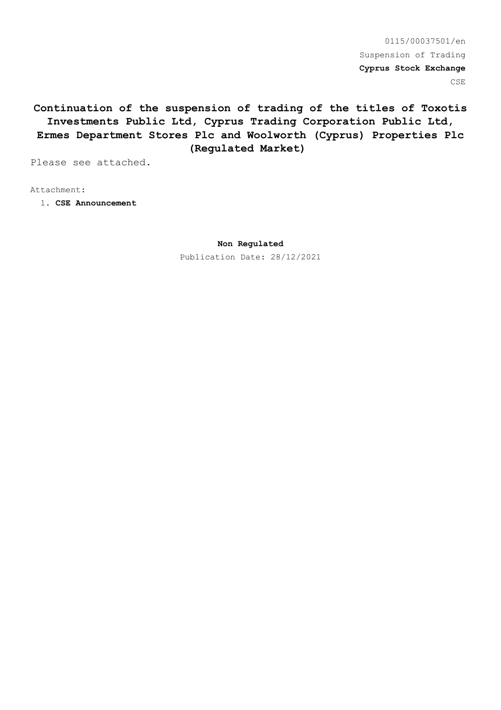0115/00037501/en Suspension of Trading **Cyprus Stock Exchange** CSE

**Continuation of the suspension of trading of the titles of Τoxotis Investments Public Ltd, Cyprus Trading Corporation Public Ltd, Ermes Department Stores Plc and Woolworth (Cyprus) Properties Plc (Regulated Market)**

Please see attached.

Attachment:

1. **CSE Announcement**

**Non Regulated**

Publication Date: 28/12/2021